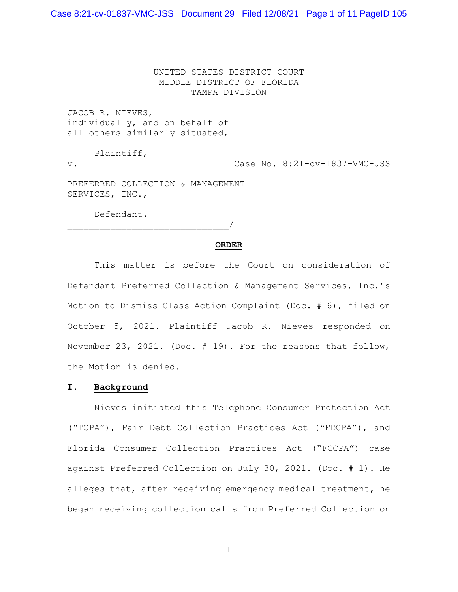Case 8:21-cv-01837-VMC-JSS Document 29 Filed 12/08/21 Page 1 of 11 PageID 105

UNITED STATES DISTRICT COURT MIDDLE DISTRICT OF FLORIDA TAMPA DIVISION

JACOB R. NIEVES, individually, and on behalf of all others similarly situated,

Plaintiff,

v. Case No. 8:21-cv-1837-VMC-JSS

PREFERRED COLLECTION & MANAGEMENT SERVICES, INC.,

Defendant.

\_\_\_\_\_\_\_\_\_\_\_\_\_\_\_\_\_\_\_\_\_\_\_\_\_\_\_\_\_\_/

### **ORDER**

This matter is before the Court on consideration of Defendant Preferred Collection & Management Services, Inc.'s Motion to Dismiss Class Action Complaint (Doc. # 6), filed on October 5, 2021. Plaintiff Jacob R. Nieves responded on November 23, 2021. (Doc. # 19). For the reasons that follow, the Motion is denied.

## **I. Background**

 Nieves initiated this Telephone Consumer Protection Act ("TCPA"), Fair Debt Collection Practices Act ("FDCPA"), and Florida Consumer Collection Practices Act ("FCCPA") case against Preferred Collection on July 30, 2021. (Doc. # 1). He alleges that, after receiving emergency medical treatment, he began receiving collection calls from Preferred Collection on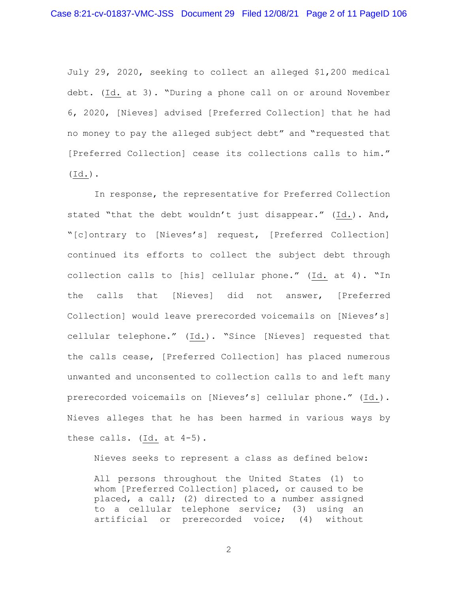July 29, 2020, seeking to collect an alleged \$1,200 medical debt. (Id. at 3). "During a phone call on or around November 6, 2020, [Nieves] advised [Preferred Collection] that he had no money to pay the alleged subject debt" and "requested that [Preferred Collection] cease its collections calls to him." (Id.).

In response, the representative for Preferred Collection stated "that the debt wouldn't just disappear." (Id.). And, "[c]ontrary to [Nieves's] request, [Preferred Collection] continued its efforts to collect the subject debt through collection calls to [his] cellular phone." (Id. at 4). "In the calls that [Nieves] did not answer, [Preferred Collection] would leave prerecorded voicemails on [Nieves's] cellular telephone." (Id.). "Since [Nieves] requested that the calls cease, [Preferred Collection] has placed numerous unwanted and unconsented to collection calls to and left many prerecorded voicemails on [Nieves's] cellular phone." (Id.). Nieves alleges that he has been harmed in various ways by these calls. (Id. at 4-5).

Nieves seeks to represent a class as defined below:

All persons throughout the United States (1) to whom [Preferred Collection] placed, or caused to be placed, a call; (2) directed to a number assigned to a cellular telephone service; (3) using an artificial or prerecorded voice; (4) without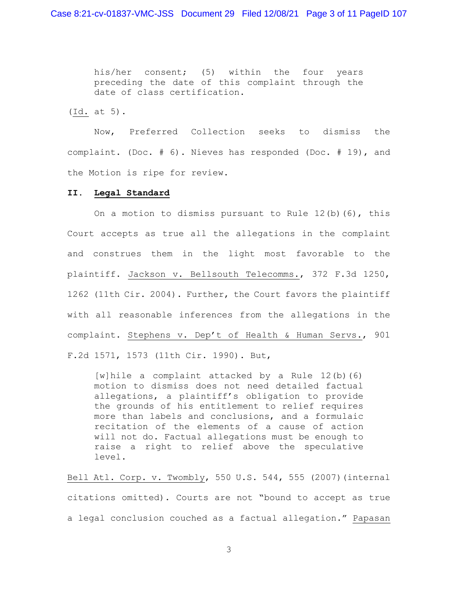his/her consent; (5) within the four years preceding the date of this complaint through the date of class certification.

(Id. at 5).

Now, Preferred Collection seeks to dismiss the complaint. (Doc. # 6). Nieves has responded (Doc. # 19), and the Motion is ripe for review.

### **II. Legal Standard**

On a motion to dismiss pursuant to Rule  $12(b)$  (6), this Court accepts as true all the allegations in the complaint and construes them in the light most favorable to the plaintiff. Jackson v. Bellsouth Telecomms., 372 F.3d 1250, 1262 (11th Cir. 2004). Further, the Court favors the plaintiff with all reasonable inferences from the allegations in the complaint. Stephens v. Dep't of Health & Human Servs., 901 F.2d 1571, 1573 (11th Cir. 1990). But,

[w]hile a complaint attacked by a Rule 12(b)(6) motion to dismiss does not need detailed factual allegations, a plaintiff's obligation to provide the grounds of his entitlement to relief requires more than labels and conclusions, and a formulaic recitation of the elements of a cause of action will not do. Factual allegations must be enough to raise a right to relief above the speculative level.

Bell Atl. Corp. v. Twombly, 550 U.S. 544, 555 (2007)(internal citations omitted). Courts are not "bound to accept as true a legal conclusion couched as a factual allegation." Papasan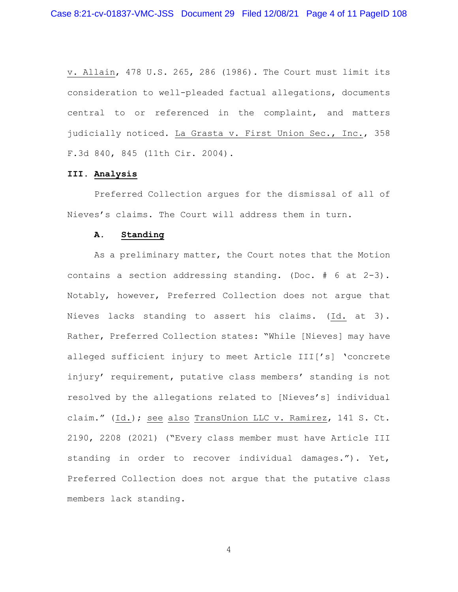v. Allain, 478 U.S. 265, 286 (1986). The Court must limit its consideration to well-pleaded factual allegations, documents central to or referenced in the complaint, and matters judicially noticed. La Grasta v. First Union Sec., Inc., 358 F.3d 840, 845 (11th Cir. 2004).

# **III. Analysis**

 Preferred Collection argues for the dismissal of all of Nieves's claims. The Court will address them in turn.

#### **A. Standing**

As a preliminary matter, the Court notes that the Motion contains a section addressing standing. (Doc. # 6 at 2-3). Notably, however, Preferred Collection does not argue that Nieves lacks standing to assert his claims. (Id. at 3). Rather, Preferred Collection states: "While [Nieves] may have alleged sufficient injury to meet Article III['s] 'concrete injury' requirement, putative class members' standing is not resolved by the allegations related to [Nieves's] individual claim." (Id.); see also TransUnion LLC v. Ramirez, 141 S. Ct. 2190, 2208 (2021) ("Every class member must have Article III standing in order to recover individual damages."). Yet, Preferred Collection does not argue that the putative class members lack standing.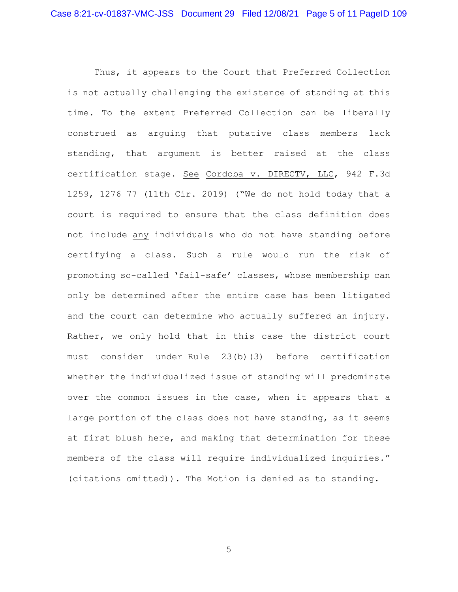Thus, it appears to the Court that Preferred Collection is not actually challenging the existence of standing at this time. To the extent Preferred Collection can be liberally construed as arguing that putative class members lack standing, that argument is better raised at the class certification stage. See Cordoba v. DIRECTV, LLC, 942 F.3d 1259, 1276–77 (11th Cir. 2019) ("We do not hold today that a court is required to ensure that the class definition does not include any individuals who do not have standing before certifying a class. Such a rule would run the risk of promoting so-called 'fail-safe' classes, whose membership can only be determined after the entire case has been litigated and the court can determine who actually suffered an injury. Rather, we only hold that in this case the district court must consider under Rule 23(b)(3) before certification whether the individualized issue of standing will predominate over the common issues in the case, when it appears that a large portion of the class does not have standing, as it seems at first blush here, and making that determination for these members of the class will require individualized inquiries." (citations omitted)). The Motion is denied as to standing.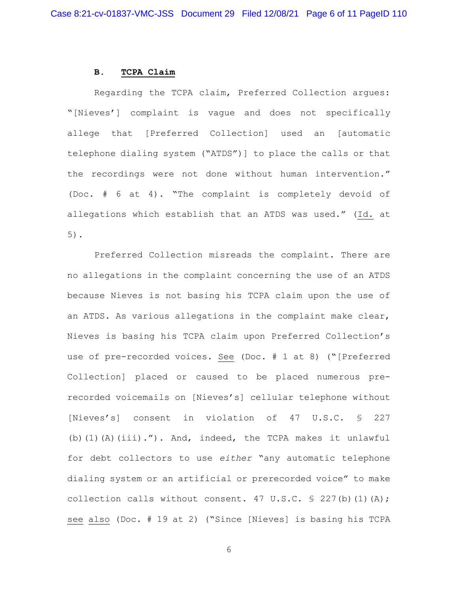### **B. TCPA Claim**

Regarding the TCPA claim, Preferred Collection argues: "[Nieves'] complaint is vague and does not specifically allege that [Preferred Collection] used an [automatic telephone dialing system ("ATDS")] to place the calls or that the recordings were not done without human intervention." (Doc. # 6 at 4). "The complaint is completely devoid of allegations which establish that an ATDS was used." (Id. at 5).

Preferred Collection misreads the complaint. There are no allegations in the complaint concerning the use of an ATDS because Nieves is not basing his TCPA claim upon the use of an ATDS. As various allegations in the complaint make clear, Nieves is basing his TCPA claim upon Preferred Collection's use of pre-recorded voices. See (Doc. # 1 at 8) ("[Preferred Collection] placed or caused to be placed numerous prerecorded voicemails on [Nieves's] cellular telephone without [Nieves's] consent in violation of 47 U.S.C. § 227 (b)(1)(A)(iii)."). And, indeed, the TCPA makes it unlawful for debt collectors to use *either* "any automatic telephone dialing system or an artificial or prerecorded voice" to make collection calls without consent. 47 U.S.C.  $\frac{1}{5}$  227(b)(1)(A); see also (Doc. # 19 at 2) ("Since [Nieves] is basing his TCPA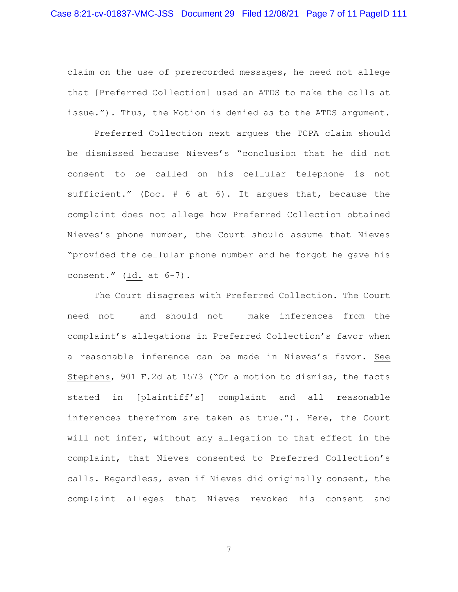claim on the use of prerecorded messages, he need not allege that [Preferred Collection] used an ATDS to make the calls at issue."). Thus, the Motion is denied as to the ATDS argument.

Preferred Collection next argues the TCPA claim should be dismissed because Nieves's "conclusion that he did not consent to be called on his cellular telephone is not sufficient." (Doc. # 6 at 6). It argues that, because the complaint does not allege how Preferred Collection obtained Nieves's phone number, the Court should assume that Nieves "provided the cellular phone number and he forgot he gave his consent." (Id. at 6-7).

The Court disagrees with Preferred Collection. The Court need not — and should not — make inferences from the complaint's allegations in Preferred Collection's favor when a reasonable inference can be made in Nieves's favor. See Stephens, 901 F.2d at 1573 ("On a motion to dismiss, the facts stated in [plaintiff's] complaint and all reasonable inferences therefrom are taken as true."). Here, the Court will not infer, without any allegation to that effect in the complaint, that Nieves consented to Preferred Collection's calls. Regardless, even if Nieves did originally consent, the complaint alleges that Nieves revoked his consent and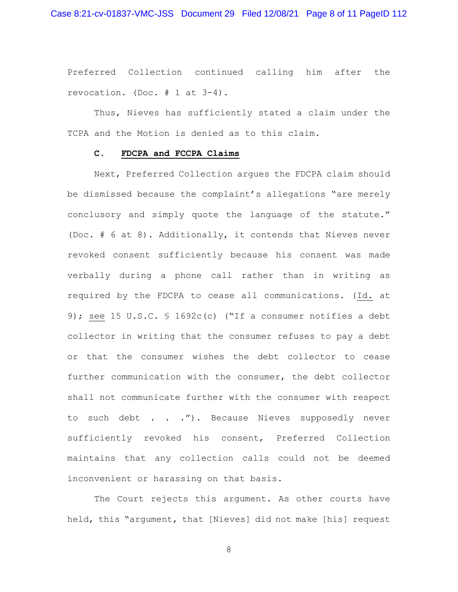Preferred Collection continued calling him after the revocation. (Doc. # 1 at 3-4).

Thus, Nieves has sufficiently stated a claim under the TCPA and the Motion is denied as to this claim.

#### **C. FDCPA and FCCPA Claims**

Next, Preferred Collection argues the FDCPA claim should be dismissed because the complaint's allegations "are merely conclusory and simply quote the language of the statute." (Doc. # 6 at 8). Additionally, it contends that Nieves never revoked consent sufficiently because his consent was made verbally during a phone call rather than in writing as required by the FDCPA to cease all communications. (Id. at 9); see 15 U.S.C. § 1692c(c) ("If a consumer notifies a debt collector in writing that the consumer refuses to pay a debt or that the consumer wishes the debt collector to cease further communication with the consumer, the debt collector shall not communicate further with the consumer with respect to such debt . . ."). Because Nieves supposedly never sufficiently revoked his consent, Preferred Collection maintains that any collection calls could not be deemed inconvenient or harassing on that basis.

The Court rejects this argument. As other courts have held, this "argument, that [Nieves] did not make [his] request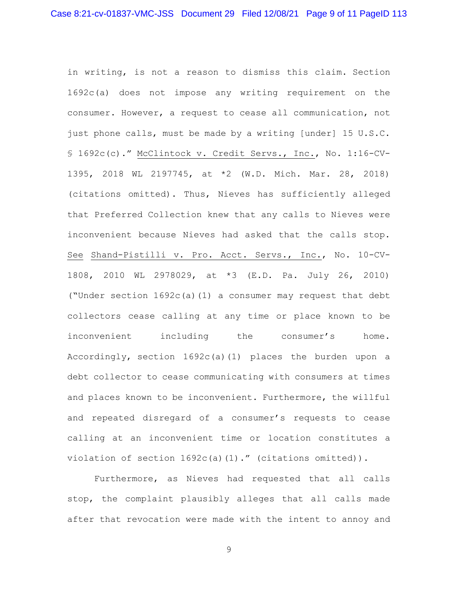in writing, is not a reason to dismiss this claim. Section 1692c(a) does not impose any writing requirement on the consumer. However, a request to cease all communication, not just phone calls, must be made by a writing [under] 15 U.S.C. § 1692c(c)." McClintock v. Credit Servs., Inc., No. 1:16-CV-1395, 2018 WL 2197745, at \*2 (W.D. Mich. Mar. 28, 2018) (citations omitted). Thus, Nieves has sufficiently alleged that Preferred Collection knew that any calls to Nieves were inconvenient because Nieves had asked that the calls stop. See Shand-Pistilli v. Pro. Acct. Servs., Inc., No. 10-CV-1808, 2010 WL 2978029, at \*3 (E.D. Pa. July 26, 2010) ("Under section 1692c(a)(1) a consumer may request that debt collectors cease calling at any time or place known to be inconvenient including the consumer's home. Accordingly, section 1692c(a)(1) places the burden upon a debt collector to cease communicating with consumers at times and places known to be inconvenient. Furthermore, the willful and repeated disregard of a consumer's requests to cease calling at an inconvenient time or location constitutes a violation of section  $1692c(a)(1)$ ." (citations omitted)).

Furthermore, as Nieves had requested that all calls stop, the complaint plausibly alleges that all calls made after that revocation were made with the intent to annoy and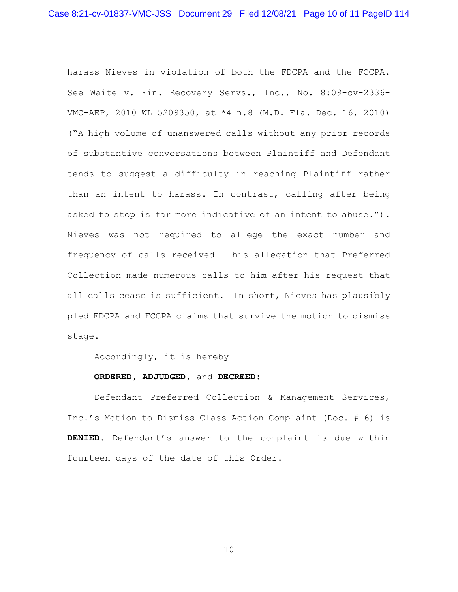harass Nieves in violation of both the FDCPA and the FCCPA. See Waite v. Fin. Recovery Servs., Inc., No. 8:09-cv-2336- VMC-AEP, 2010 WL 5209350, at \*4 n.8 (M.D. Fla. Dec. 16, 2010) ("A high volume of unanswered calls without any prior records of substantive conversations between Plaintiff and Defendant tends to suggest a difficulty in reaching Plaintiff rather than an intent to harass. In contrast, calling after being asked to stop is far more indicative of an intent to abuse."). Nieves was not required to allege the exact number and frequency of calls received — his allegation that Preferred Collection made numerous calls to him after his request that all calls cease is sufficient. In short, Nieves has plausibly pled FDCPA and FCCPA claims that survive the motion to dismiss stage.

Accordingly, it is hereby

#### **ORDERED, ADJUDGED,** and **DECREED:**

Defendant Preferred Collection & Management Services, Inc.'s Motion to Dismiss Class Action Complaint (Doc. # 6) is **DENIED**. Defendant's answer to the complaint is due within fourteen days of the date of this Order.